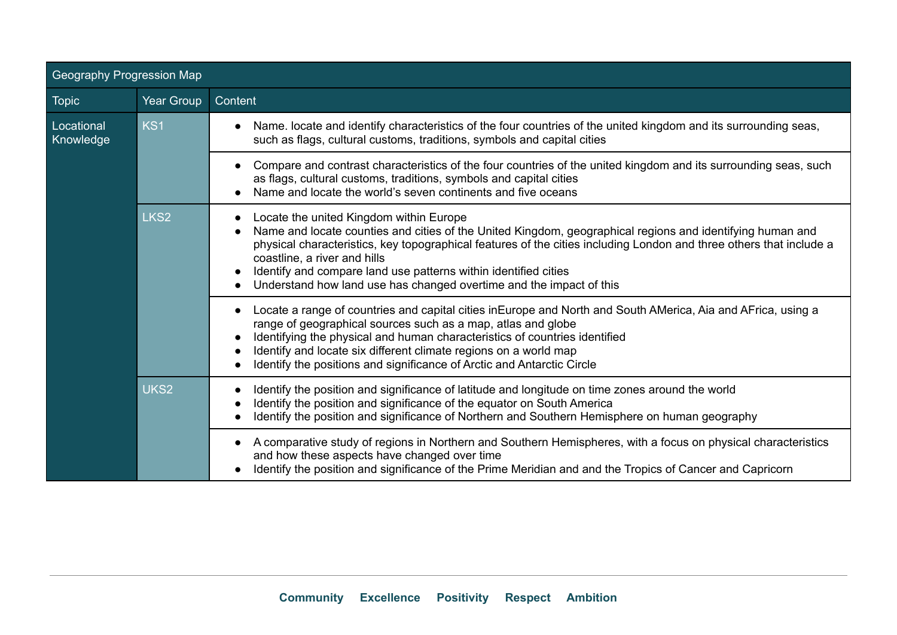| Geography Progression Map |                  |                                                                                                                                                                                                                                                                                                                                                                                                                                                                                              |  |  |  |  |
|---------------------------|------------------|----------------------------------------------------------------------------------------------------------------------------------------------------------------------------------------------------------------------------------------------------------------------------------------------------------------------------------------------------------------------------------------------------------------------------------------------------------------------------------------------|--|--|--|--|
| <b>Topic</b>              | Year Group       | Content                                                                                                                                                                                                                                                                                                                                                                                                                                                                                      |  |  |  |  |
| Locational<br>Knowledge   | KS <sub>1</sub>  | Name. locate and identify characteristics of the four countries of the united kingdom and its surrounding seas,<br>$\bullet$<br>such as flags, cultural customs, traditions, symbols and capital cities                                                                                                                                                                                                                                                                                      |  |  |  |  |
|                           |                  | Compare and contrast characteristics of the four countries of the united kingdom and its surrounding seas, such<br>$\bullet$<br>as flags, cultural customs, traditions, symbols and capital cities<br>Name and locate the world's seven continents and five oceans                                                                                                                                                                                                                           |  |  |  |  |
|                           | LKS <sub>2</sub> | Locate the united Kingdom within Europe<br>$\bullet$<br>Name and locate counties and cities of the United Kingdom, geographical regions and identifying human and<br>physical characteristics, key topographical features of the cities including London and three others that include a<br>coastline, a river and hills<br>Identify and compare land use patterns within identified cities<br>$\bullet$<br>Understand how land use has changed overtime and the impact of this<br>$\bullet$ |  |  |  |  |
|                           |                  | Locate a range of countries and capital cities in Europe and North and South AMerica, Aia and AFrica, using a<br>$\bullet$<br>range of geographical sources such as a map, atlas and globe<br>Identifying the physical and human characteristics of countries identified<br>Identify and locate six different climate regions on a world map<br>$\bullet$<br>Identify the positions and significance of Arctic and Antarctic Circle<br>$\bullet$                                             |  |  |  |  |
|                           | UKS <sub>2</sub> | Identify the position and significance of latitude and longitude on time zones around the world<br>$\bullet$<br>Identify the position and significance of the equator on South America<br>Identify the position and significance of Northern and Southern Hemisphere on human geography                                                                                                                                                                                                      |  |  |  |  |
|                           |                  | A comparative study of regions in Northern and Southern Hemispheres, with a focus on physical characteristics<br>$\bullet$<br>and how these aspects have changed over time<br>Identify the position and significance of the Prime Meridian and and the Tropics of Cancer and Capricorn                                                                                                                                                                                                       |  |  |  |  |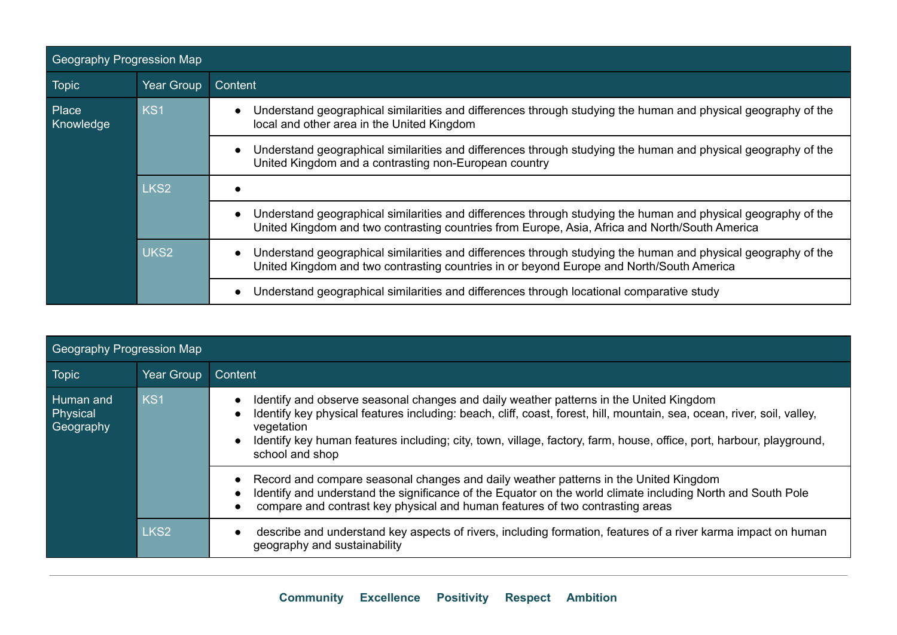| <b>Geography Progression Map</b> |                  |                                                                                                                                                                                                                              |  |  |  |  |
|----------------------------------|------------------|------------------------------------------------------------------------------------------------------------------------------------------------------------------------------------------------------------------------------|--|--|--|--|
| <b>Topic</b>                     | Year Group       | Content                                                                                                                                                                                                                      |  |  |  |  |
| Place<br>Knowledge               | KS <sub>1</sub>  | Understand geographical similarities and differences through studying the human and physical geography of the<br>$\bullet$<br>local and other area in the United Kingdom                                                     |  |  |  |  |
|                                  |                  | Understand geographical similarities and differences through studying the human and physical geography of the<br>$\bullet$<br>United Kingdom and a contrasting non-European country                                          |  |  |  |  |
|                                  | LKS <sub>2</sub> |                                                                                                                                                                                                                              |  |  |  |  |
|                                  |                  | Understand geographical similarities and differences through studying the human and physical geography of the<br>$\bullet$<br>United Kingdom and two contrasting countries from Europe, Asia, Africa and North/South America |  |  |  |  |
|                                  | UKS <sub>2</sub> | Understand geographical similarities and differences through studying the human and physical geography of the<br>$\bullet$<br>United Kingdom and two contrasting countries in or beyond Europe and North/South America       |  |  |  |  |
|                                  |                  | Understand geographical similarities and differences through locational comparative study<br>$\bullet$                                                                                                                       |  |  |  |  |

| Geography Progression Map          |                  |                                                                                                                                                                                                                                                                                                                                                                            |  |  |  |  |
|------------------------------------|------------------|----------------------------------------------------------------------------------------------------------------------------------------------------------------------------------------------------------------------------------------------------------------------------------------------------------------------------------------------------------------------------|--|--|--|--|
| <b>Topic</b>                       | Year Group       | Content                                                                                                                                                                                                                                                                                                                                                                    |  |  |  |  |
| Human and<br>Physical<br>Geography | KS1              | Identify and observe seasonal changes and daily weather patterns in the United Kingdom<br>Identify key physical features including: beach, cliff, coast, forest, hill, mountain, sea, ocean, river, soil, valley,<br>vegetation<br>Identify key human features including; city, town, village, factory, farm, house, office, port, harbour, playground,<br>school and shop |  |  |  |  |
|                                    |                  | Record and compare seasonal changes and daily weather patterns in the United Kingdom<br>$\bullet$<br>Identify and understand the significance of the Equator on the world climate including North and South Pole<br>$\bullet$<br>compare and contrast key physical and human features of two contrasting areas                                                             |  |  |  |  |
|                                    | LKS <sub>2</sub> | describe and understand key aspects of rivers, including formation, features of a river karma impact on human<br>geography and sustainability                                                                                                                                                                                                                              |  |  |  |  |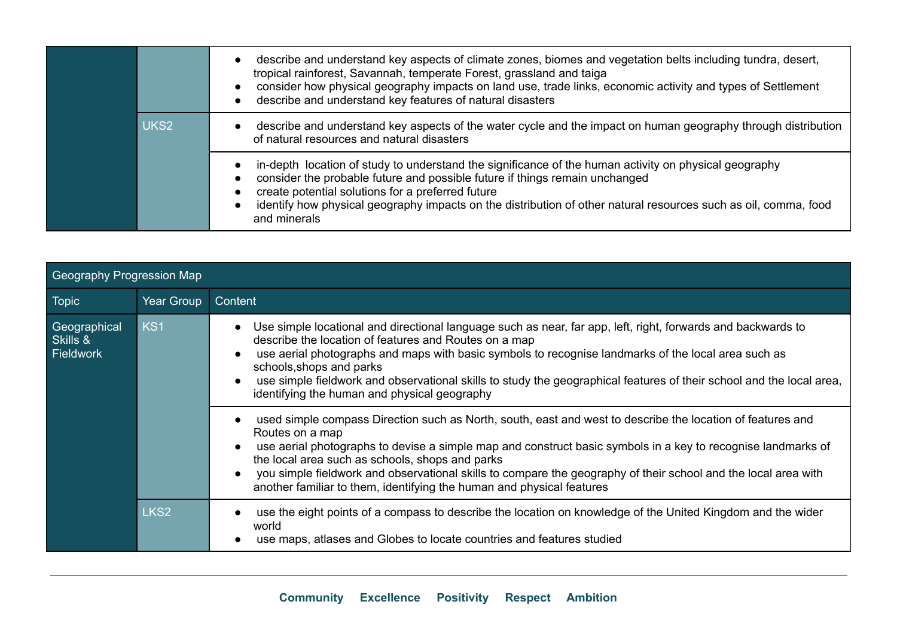|                  | describe and understand key aspects of climate zones, biomes and vegetation belts including tundra, desert,<br>tropical rainforest, Savannah, temperate Forest, grassland and taiga<br>consider how physical geography impacts on land use, trade links, economic activity and types of Settlement<br>describe and understand key features of natural disasters              |
|------------------|------------------------------------------------------------------------------------------------------------------------------------------------------------------------------------------------------------------------------------------------------------------------------------------------------------------------------------------------------------------------------|
| UKS <sub>2</sub> | describe and understand key aspects of the water cycle and the impact on human geography through distribution<br>of natural resources and natural disasters                                                                                                                                                                                                                  |
|                  | in-depth location of study to understand the significance of the human activity on physical geography<br>consider the probable future and possible future if things remain unchanged<br>create potential solutions for a preferred future<br>identify how physical geography impacts on the distribution of other natural resources such as oil, comma, food<br>and minerals |

| Geography Progression Map                    |                  |                                                                                                                                                                                                                                                                                                                                                                                                                                                                                                                       |  |  |  |  |
|----------------------------------------------|------------------|-----------------------------------------------------------------------------------------------------------------------------------------------------------------------------------------------------------------------------------------------------------------------------------------------------------------------------------------------------------------------------------------------------------------------------------------------------------------------------------------------------------------------|--|--|--|--|
| <b>Topic</b>                                 | Year Group       | Content                                                                                                                                                                                                                                                                                                                                                                                                                                                                                                               |  |  |  |  |
| Geographical<br>Skills &<br><b>Fieldwork</b> | KS <sub>1</sub>  | Use simple locational and directional language such as near, far app, left, right, forwards and backwards to<br>$\bullet$<br>describe the location of features and Routes on a map<br>use aerial photographs and maps with basic symbols to recognise landmarks of the local area such as<br>schools, shops and parks<br>use simple fieldwork and observational skills to study the geographical features of their school and the local area,<br>$\bullet$<br>identifying the human and physical geography            |  |  |  |  |
|                                              |                  | used simple compass Direction such as North, south, east and west to describe the location of features and<br>$\bullet$<br>Routes on a map<br>use aerial photographs to devise a simple map and construct basic symbols in a key to recognise landmarks of<br>the local area such as schools, shops and parks<br>you simple fieldwork and observational skills to compare the geography of their school and the local area with<br>$\bullet$<br>another familiar to them, identifying the human and physical features |  |  |  |  |
|                                              | LKS <sub>2</sub> | use the eight points of a compass to describe the location on knowledge of the United Kingdom and the wider<br>world<br>use maps, atlases and Globes to locate countries and features studied                                                                                                                                                                                                                                                                                                                         |  |  |  |  |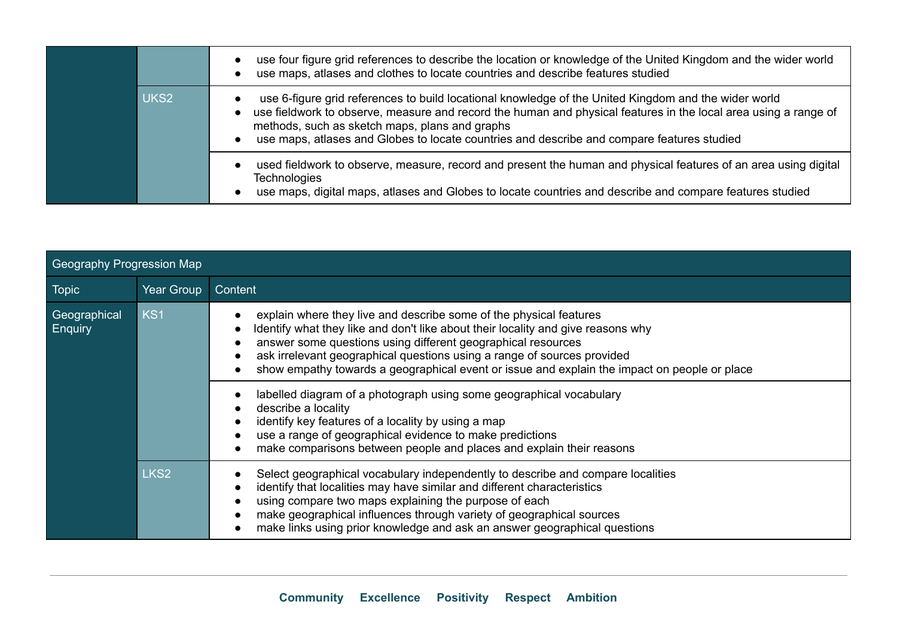|                  | use four figure grid references to describe the location or knowledge of the United Kingdom and the wider world<br>use maps, atlases and clothes to locate countries and describe features studied                                                                                                                                                                      |
|------------------|-------------------------------------------------------------------------------------------------------------------------------------------------------------------------------------------------------------------------------------------------------------------------------------------------------------------------------------------------------------------------|
| UKS <sub>2</sub> | use 6-figure grid references to build locational knowledge of the United Kingdom and the wider world<br>use fieldwork to observe, measure and record the human and physical features in the local area using a range of<br>methods, such as sketch maps, plans and graphs<br>use maps, atlases and Globes to locate countries and describe and compare features studied |
|                  | used fieldwork to observe, measure, record and present the human and physical features of an area using digital<br><b>Technologies</b><br>use maps, digital maps, atlases and Globes to locate countries and describe and compare features studied                                                                                                                      |

| Geography Progression Map      |                  |                                                                                                                                                                                                                                                                                                                                                                                                   |  |  |  |  |
|--------------------------------|------------------|---------------------------------------------------------------------------------------------------------------------------------------------------------------------------------------------------------------------------------------------------------------------------------------------------------------------------------------------------------------------------------------------------|--|--|--|--|
| <b>Topic</b>                   | Year Group       | Content                                                                                                                                                                                                                                                                                                                                                                                           |  |  |  |  |
| Geographical<br><b>Enquiry</b> | KS <sub>1</sub>  | explain where they live and describe some of the physical features<br>Identify what they like and don't like about their locality and give reasons why<br>answer some questions using different geographical resources<br>ask irrelevant geographical questions using a range of sources provided<br>show empathy towards a geographical event or issue and explain the impact on people or place |  |  |  |  |
|                                |                  | labelled diagram of a photograph using some geographical vocabulary<br>describe a locality<br>identify key features of a locality by using a map<br>use a range of geographical evidence to make predictions<br>make comparisons between people and places and explain their reasons                                                                                                              |  |  |  |  |
|                                | LKS <sub>2</sub> | Select geographical vocabulary independently to describe and compare localities<br>identify that localities may have similar and different characteristics<br>using compare two maps explaining the purpose of each<br>make geographical influences through variety of geographical sources<br>make links using prior knowledge and ask an answer geographical questions                          |  |  |  |  |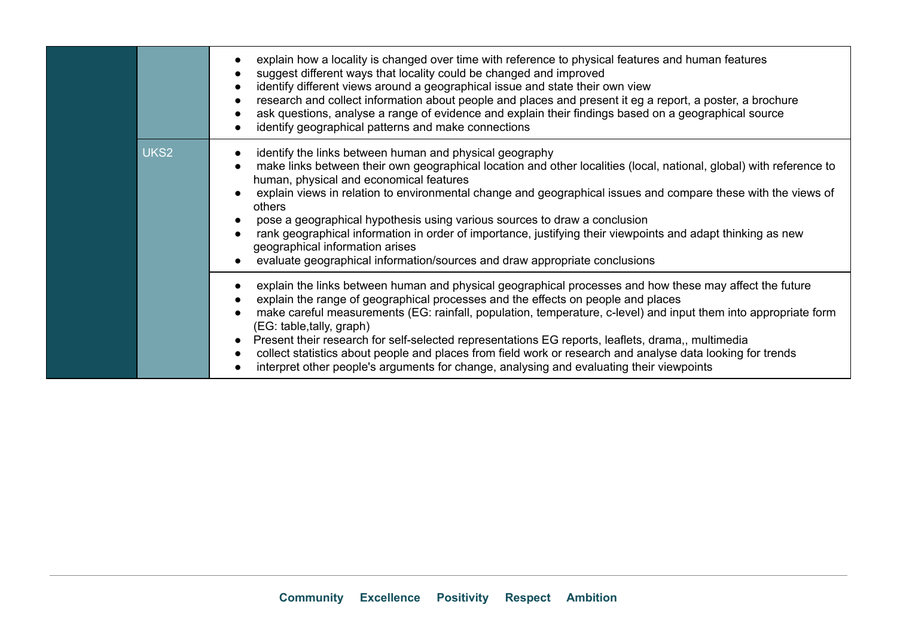|                  | explain how a locality is changed over time with reference to physical features and human features<br>$\bullet$<br>suggest different ways that locality could be changed and improved<br>$\bullet$<br>identify different views around a geographical issue and state their own view<br>$\bullet$<br>research and collect information about people and places and present it eg a report, a poster, a brochure<br>$\bullet$<br>ask questions, analyse a range of evidence and explain their findings based on a geographical source<br>$\bullet$<br>identify geographical patterns and make connections<br>$\bullet$                                                                                            |
|------------------|----------------------------------------------------------------------------------------------------------------------------------------------------------------------------------------------------------------------------------------------------------------------------------------------------------------------------------------------------------------------------------------------------------------------------------------------------------------------------------------------------------------------------------------------------------------------------------------------------------------------------------------------------------------------------------------------------------------|
| UKS <sub>2</sub> | identify the links between human and physical geography<br>$\bullet$<br>make links between their own geographical location and other localities (local, national, global) with reference to<br>$\bullet$<br>human, physical and economical features<br>explain views in relation to environmental change and geographical issues and compare these with the views of<br>others<br>pose a geographical hypothesis using various sources to draw a conclusion<br>rank geographical information in order of importance, justifying their viewpoints and adapt thinking as new<br>geographical information arises<br>evaluate geographical information/sources and draw appropriate conclusions                    |
|                  | explain the links between human and physical geographical processes and how these may affect the future<br>$\bullet$<br>explain the range of geographical processes and the effects on people and places<br>make careful measurements (EG: rainfall, population, temperature, c-level) and input them into appropriate form<br>$\bullet$<br>(EG: table, tally, graph)<br>Present their research for self-selected representations EG reports, leaflets, drama,, multimedia<br>$\bullet$<br>collect statistics about people and places from field work or research and analyse data looking for trends<br>$\bullet$<br>interpret other people's arguments for change, analysing and evaluating their viewpoints |